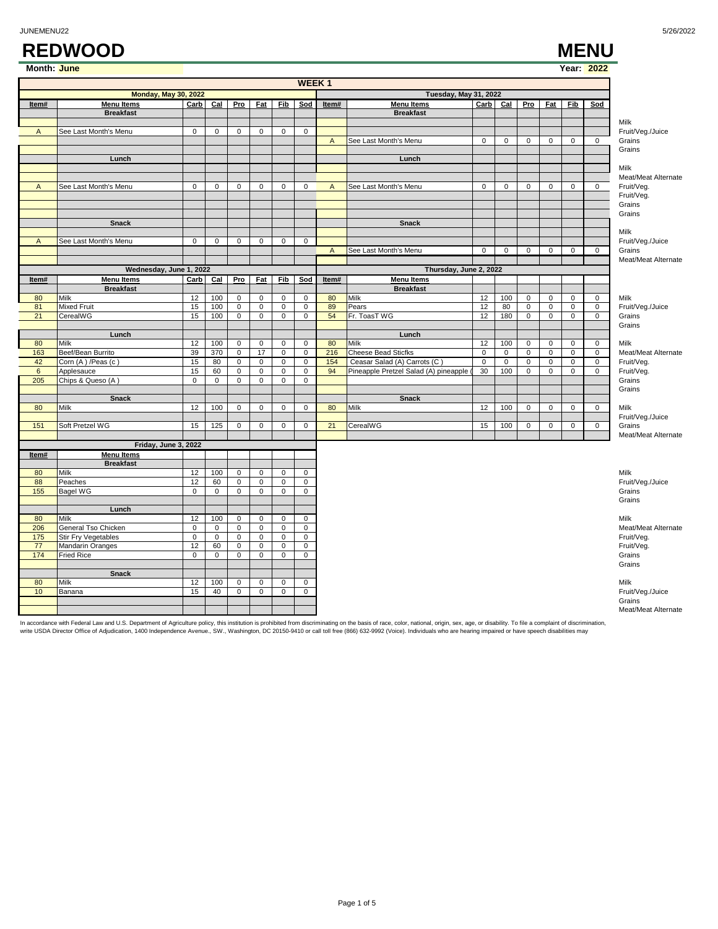### **REDWOOD MENU**

| Month: June               |                             |                |                |                |                |                     |                |                |                                       |                |                     |                |                |                | Year: 2022     |                            |
|---------------------------|-----------------------------|----------------|----------------|----------------|----------------|---------------------|----------------|----------------|---------------------------------------|----------------|---------------------|----------------|----------------|----------------|----------------|----------------------------|
|                           |                             |                |                |                |                |                     | <b>WEEK1</b>   |                |                                       |                |                     |                |                |                |                |                            |
|                           | <b>Monday, May 30, 2022</b> |                |                |                |                |                     |                |                | <b>Tuesday, May 31, 2022</b>          |                |                     |                |                |                |                |                            |
| Item#                     | Menu Items                  | Carb           | $Cal$          | Pro            | Fat            | Fib                 | Sod            | Item#          | <b>Menu Items</b>                     | Carb           | Cal                 | Pro            | Fat            | Fib            | Sod            |                            |
|                           | <b>Breakfast</b>            |                |                |                |                |                     |                |                | <b>Breakfast</b>                      |                |                     |                |                |                |                |                            |
|                           |                             | 0              | 0              | $\mathsf 0$    | $\mathbf 0$    |                     | $\mathbf 0$    |                |                                       |                |                     |                |                |                |                | Milk                       |
| $\overline{A}$            | See Last Month's Menu       |                |                |                |                | 0                   |                | $\overline{A}$ | See Last Month's Menu                 | $\overline{0}$ | $\mathsf 0$         | $\mathbf 0$    | $\Omega$       | $\mathbf 0$    | $\mathsf 0$    | Fruit/Veg./Juice<br>Grains |
|                           |                             |                |                |                |                |                     |                |                |                                       |                |                     |                |                |                |                | Grains                     |
|                           | Lunch                       |                |                |                |                |                     |                |                | Lunch                                 |                |                     |                |                |                |                |                            |
|                           |                             |                |                |                |                |                     |                |                |                                       |                |                     |                |                |                |                | Milk                       |
|                           |                             |                |                |                |                |                     |                |                |                                       |                |                     |                |                |                |                | Meat/Meat Alternate        |
| $\overline{A}$            | See Last Month's Menu       | $\mathbf 0$    | 0              | $\mathbf 0$    | $\mathbf 0$    | $\mathsf 0$         | $\mathbf 0$    | $\overline{A}$ | See Last Month's Menu                 | $\mathbf 0$    | $\mathbf 0$         | $\mathbf 0$    | $\mathbf 0$    | $\mathbf 0$    | $\mathsf 0$    | Fruit/Veg.                 |
|                           |                             |                |                |                |                |                     |                |                |                                       |                |                     |                |                |                |                | Fruit/Veg.                 |
|                           |                             |                |                |                |                |                     |                |                |                                       |                |                     |                |                |                |                | Grains                     |
|                           | <b>Snack</b>                |                |                |                |                |                     |                |                | <b>Snack</b>                          |                |                     |                |                |                |                | Grains                     |
|                           |                             |                |                |                |                |                     |                |                |                                       |                |                     |                |                |                |                | Milk                       |
| $\boldsymbol{\mathsf{A}}$ | See Last Month's Menu       | $\overline{0}$ | 0              | $\pmb{0}$      | $\mathbf 0$    | $\mathbf 0$         | 0              |                |                                       |                |                     |                |                |                |                | Fruit/Veg./Juice           |
|                           |                             |                |                |                |                |                     |                | $\overline{A}$ | See Last Month's Menu                 | $\mathbf{0}$   | $\mathbf 0$         | $\mathbf 0$    | $\mathbf 0$    | $\mathbf 0$    | $\mathbf 0$    | Grains                     |
|                           |                             |                |                |                |                |                     |                |                |                                       |                |                     |                |                |                |                | Meat/Meat Alternate        |
|                           | Wednesday, June 1, 2022     |                |                |                |                |                     |                |                | Thursday, June 2, 2022                |                |                     |                |                |                |                |                            |
| Item#                     | <b>Menu Items</b>           | Carb           | $cat$          | Pro            | Fat            | Fib                 | Sod            | Item#          | <b>Menu Items</b>                     |                |                     |                |                |                |                |                            |
|                           | <b>Breakfast</b>            |                |                |                |                |                     |                |                | <b>Breakfast</b>                      |                |                     |                |                |                |                |                            |
| 80                        | Milk                        | 12             | 100            | $\mathbf 0$    | $\mathbf 0$    | $\mathbf 0$         | $\mathbf{0}$   | 80             | Milk                                  | 12             | 100                 | $\mathbf 0$    | $\mathbf 0$    | $\mathbf 0$    | $\mathsf 0$    | Milk                       |
| 81                        | <b>Mixed Fruit</b>          | 15             | 100            | $\mathbf 0$    | 0              | 0                   | 0              | 89             | Pears                                 | 12             | 80                  | 0              | $\mathbf 0$    | 0              | $\mathbf 0$    | Fruit/Veg./Juice           |
| 21                        | CerealWG                    | 15             | 100            | $\mathbf{0}$   | $\mathbf 0$    | $\mathbf 0$         | $\mathbf 0$    | 54             | Fr. ToasT WG                          | 12             | 180                 | $\mathbf 0$    | $\mathbf 0$    | $\mathbf{0}$   | $\mathbf 0$    | Grains                     |
|                           | Lunch                       |                |                |                |                |                     |                |                | Lunch                                 |                |                     |                |                |                |                | Grains                     |
| 80                        | Milk                        | 12             | 100            | $\mathsf 0$    | $\mathbf 0$    | 0                   | $\mathbf 0$    | 80             | Milk                                  | 12             | 100                 | $\mathsf 0$    | 0              | 0              | $\mathsf 0$    | Milk                       |
| 163                       | Beef/Bean Burrito           | 39             | 370            | $\mathsf 0$    | 17             | $\mathbf 0$         | $\mathbf 0$    | 216            | <b>Cheese Bead Sticfks</b>            | $\mathbf 0$    | $\mathsf{O}\xspace$ | $\mathbf 0$    | $\mathbf 0$    | $\mathbf 0$    | $\mathsf 0$    | Meat/Meat Alternate        |
| 42                        | Corn (A) /Peas (c)          | 15             | 80             | 0              | $\mathbf 0$    | $\mathbf 0$         | $\mathbf 0$    | 154            | Ceasar Salad (A) Carrots (C)          | $\mathbf 0$    | $\mathbf 0$         | $\mathbf 0$    | $\mathbf 0$    | 0              | $\mathbf 0$    | Fruit/Veg.                 |
| $6\phantom{1}$            | Applesauce                  | 15             | 60             | $\overline{0}$ | $\mathbf 0$    | $\mathbf 0$         | $\mathsf 0$    | 94             | Pineapple Pretzel Salad (A) pineapple | 30             | 100                 | $\overline{0}$ | $\overline{0}$ | $\overline{0}$ | $\overline{0}$ | Fruit/Veg.                 |
| 205                       | Chips & Queso (A)           | 0              | 0              | $\mathsf 0$    | $\mathbf 0$    | $\mathbf 0$         | $\pmb{0}$      |                |                                       |                |                     |                |                |                |                | Grains                     |
|                           |                             |                |                |                |                |                     |                |                |                                       |                |                     |                |                |                |                | Grains                     |
|                           | <b>Snack</b>                |                |                |                |                |                     |                |                | <b>Snack</b>                          |                |                     |                |                |                |                |                            |
| 80                        | Milk                        | 12             | 100            | $\mathsf 0$    | 0              | 0                   | 0              | 80             | Milk                                  | 12             | 100                 | $\mathsf 0$    | 0              | 0              | $\mathbf 0$    | Milk<br>Fruit/Veg./Juice   |
| 151                       | Soft Pretzel WG             | 15             | 125            | $\mathsf 0$    | $\mathsf 0$    | $\mathbf 0$         | $\pmb{0}$      | 21             | CerealWG                              | 15             | 100                 | $\mathsf 0$    | $\mathsf 0$    | $\mathsf 0$    | $\mathsf 0$    | Grains                     |
|                           |                             |                |                |                |                |                     |                |                |                                       |                |                     |                |                |                |                | Meat/Meat Alternate        |
|                           | Friday, June 3, 2022        |                |                |                |                |                     |                |                |                                       |                |                     |                |                |                |                |                            |
| Item#                     | <b>Menu Items</b>           |                |                |                |                |                     |                |                |                                       |                |                     |                |                |                |                |                            |
|                           | <b>Breakfast</b>            |                |                |                |                |                     |                |                |                                       |                |                     |                |                |                |                |                            |
| 80                        | Milk                        | 12             | 100            | $\overline{0}$ | 0              | 0                   | 0              |                |                                       |                |                     |                |                |                |                | Milk                       |
| 88                        | Peaches                     | 12             | 60             | $\mathbf 0$    | $\mathbf 0$    | $\mathbf 0$         | $\mathsf 0$    |                |                                       |                |                     |                |                |                |                | Fruit/Veg./Juice           |
| 155                       | <b>Bagel WG</b>             | $\overline{0}$ | $\mathbf 0$    | $\overline{0}$ | $\overline{0}$ | $\overline{0}$      | 0              |                |                                       |                |                     |                |                |                |                | Grains                     |
|                           | Lunch                       |                |                |                |                |                     |                |                |                                       |                |                     |                |                |                |                | Grains                     |
| 80                        | Milk                        | 12             | 100            | $\mathsf 0$    | $\mathbf 0$    | $\mathbf 0$         | $\mathbf 0$    |                |                                       |                |                     |                |                |                |                | Milk                       |
| 206                       | General Tso Chicken         | $\mathsf 0$    | $\mathsf 0$    | $\mathbf 0$    | $\mathbf 0$    | $\mathsf{O}\xspace$ | $\mathsf 0$    |                |                                       |                |                     |                |                |                |                | Meat/Meat Alternate        |
| 175                       | Stir Fry Vegetables         | $\overline{0}$ | $\mathbf 0$    | $\mathbf{0}$   | $\mathbf 0$    | $\mathbf 0$         | 0              |                |                                       |                |                     |                |                |                |                | Fruit/Veg.                 |
| 77                        | Mandarin Oranges            | 12             | 60             | $\mathsf 0$    | 0              | 0                   | 0              |                |                                       |                |                     |                |                |                |                | Fruit/Veg.                 |
| 174                       | <b>Fried Rice</b>           | $\overline{0}$ | $\overline{0}$ | $\overline{0}$ | $\overline{0}$ | $\overline{0}$      | $\overline{0}$ |                |                                       |                |                     |                |                |                |                | Grains                     |
|                           |                             |                |                |                |                |                     |                |                |                                       |                |                     |                |                |                |                | Grains                     |
|                           | Snack                       |                |                |                |                |                     |                |                |                                       |                |                     |                |                |                |                |                            |
|                           | Milk                        | 12             | 100            | 0              | 0              | 0                   | 0              |                |                                       |                |                     |                |                |                |                | Milk                       |
| 80                        |                             |                |                |                |                |                     |                |                |                                       |                |                     |                |                |                |                |                            |
| 10                        | Banana                      | 15             | 40             | $\overline{0}$ | 0              | 0                   | 0              |                |                                       |                |                     |                |                |                |                | Fruit/Veg./Juice<br>Grains |

In accordance with Federal Law and U.S. Department of Agriculture policy, this institution is prohibited from discriminating on the basis of race, color, national, origin, sex, age, or disability. To file a complaint of di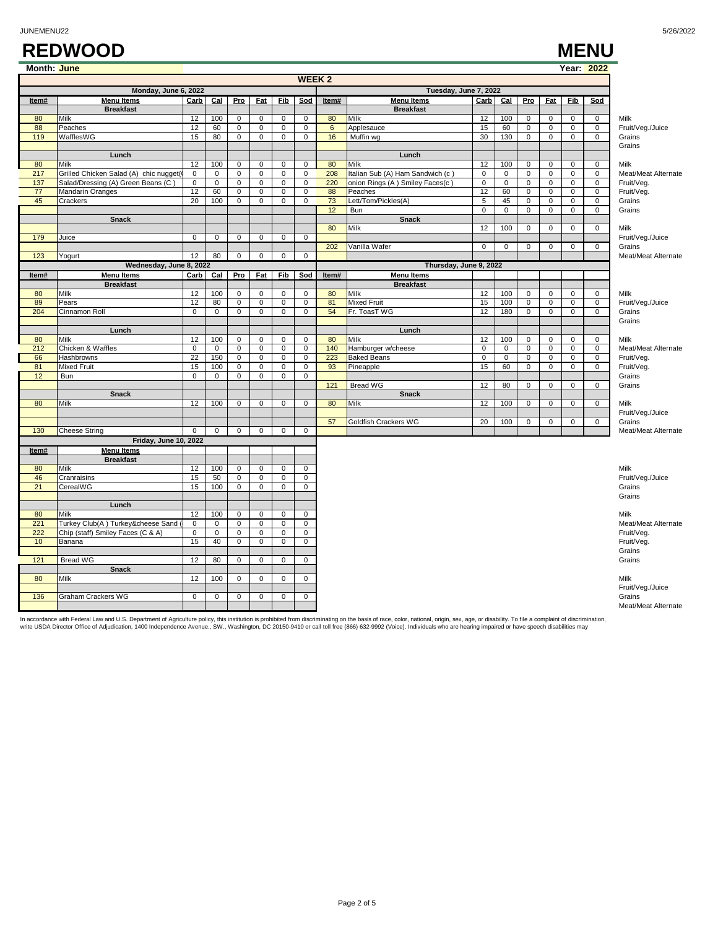|                                               | <b>WEEK 2</b>                          |                 |             |                |                     |                |                     |       |                                 |             |                     |             |                     |                     |                     |                            |
|-----------------------------------------------|----------------------------------------|-----------------|-------------|----------------|---------------------|----------------|---------------------|-------|---------------------------------|-------------|---------------------|-------------|---------------------|---------------------|---------------------|----------------------------|
| Monday, June 6, 2022<br>Tuesday, June 7, 2022 |                                        |                 |             |                |                     |                |                     |       |                                 |             |                     |             |                     |                     |                     |                            |
| Item#                                         | <b>Menu Items</b>                      | Carb            | $Cal$       | Pro            | <b>Fat</b>          | Fib            | Sod                 | Item# | <b>Menu Items</b>               | Carb        | $Cal$               | Pro         | <b>Fat</b>          | Fib                 | Sod                 |                            |
|                                               | <b>Breakfast</b>                       |                 |             |                |                     |                |                     |       | <b>Breakfast</b>                |             |                     |             |                     |                     |                     |                            |
| 80                                            | Milk                                   | 12              | 100         | $\mathbf{0}$   | $\mathbf 0$         | $\mathbf 0$    | $\mathsf 0$         | 80    | Milk                            | 12          | 100                 | $\mathbf 0$ | $\mathbf{0}$        | $\mathbf 0$         | $\mathbf 0$         | Milk                       |
| 88                                            | Peaches                                | 12              | 60          | $\mathbf 0$    | $\mathbf 0$         | 0              | $\mathbf 0$         | 6     | Applesauce                      | 15          | 60                  | $\mathbf 0$ | $\mathbf 0$         | $\mathbf 0$         | $\mathbf 0$         | Fruit/Veg./Juice           |
| 119                                           | WafflesWG                              | 15              | 80          | 0              | 0                   | 0              | 0                   | 16    | Muffin wg                       | 30          | 130                 | 0           | $\mathbf 0$         | 0                   | 0                   | Grains                     |
|                                               |                                        |                 |             |                |                     |                |                     |       |                                 |             |                     |             |                     |                     |                     | Grains                     |
|                                               | Lunch                                  |                 |             |                |                     |                |                     |       | Lunch                           |             |                     |             |                     |                     |                     |                            |
| 80                                            | Milk                                   | 12              | 100         | $\mathbf 0$    | $\mathbf 0$         | $\mathbf 0$    | $\mathbf{0}$        | 80    | Milk                            | 12          | 100                 | $\mathbf 0$ | $\mathbf 0$         | $\mathbf 0$         | $\mathbf 0$         | Milk                       |
| 217                                           | Grilled Chicken Salad (A) chic nugget( | $\pmb{0}$       | $\mathbf 0$ | $\mathsf 0$    | $\mathbf 0$         | 0              | $\mathbf 0$         | 208   | Italian Sub (A) Ham Sandwich (c | 0           | $\mathsf{O}\xspace$ | $\mathbf 0$ | $\mathbf 0$         | $\mathbf 0$         | $\mathbf 0$         | Meat/Meat Alternate        |
| 137                                           | Salad/Dressing (A) Green Beans (C)     | $\mathbf 0$     | $\mathsf 0$ | $\mathbf 0$    | $\mathbf 0$         | $\mathbf 0$    | $\pmb{0}$           | 220   | onion Rings (A) Smiley Faces(c) | $\pmb{0}$   | $\mathsf 0$         | $\mathbf 0$ | $\mathsf 0$         | $\mathsf 0$         | $\mathbf 0$         | Fruit/Veg.                 |
| 77                                            | Mandarin Oranges                       | 12              | 60          | $\overline{0}$ | $\overline{0}$      | $\overline{0}$ | $\mathsf 0$         | 88    | Peaches                         | 12          | 60                  | $\mathsf 0$ | $\overline{0}$      | $\mathsf 0$         | $\overline{0}$      | Fruit/Veg.                 |
| 45                                            | Crackers                               | 20              | 100         | $\mathbf 0$    | $\Omega$            | $\mathbf 0$    | $\mathbf 0$         | 73    | Lett/Tom/Pickles(A)             | 5           | 45                  | $\mathbf 0$ | $\mathbf{0}$        | $\mathbf 0$         | $\mathbf 0$         | Grains                     |
|                                               |                                        |                 |             |                |                     |                |                     | 12    | Bun                             | $\mathsf 0$ | $\mathbf 0$         | $\mathbf 0$ | $\mathbf 0$         | $\mathsf 0$         | 0                   | Grains                     |
|                                               | <b>Snack</b>                           |                 |             |                |                     |                |                     | 80    | <b>Snack</b>                    |             | 100                 |             |                     |                     |                     |                            |
| 179                                           |                                        | $\mathsf 0$     |             |                |                     | $\pmb{0}$      | $\mathsf 0$         |       | Milk                            | 12          |                     | $\mathbf 0$ | $\mathbf 0$         | $\mathbf 0$         | $\mathbf 0$         | Milk                       |
|                                               | Juice                                  |                 | 0           | 0              | $\mathbf 0$         |                |                     | 202   | Vanilla Wafer                   | $\mathbf 0$ | $\mathbf 0$         | $\mathbf 0$ | $\mathbf 0$         | $\mathbf 0$         | $\mathbf 0$         | Fruit/Veg./Juice<br>Grains |
| 123                                           | Yogurt                                 | 12              | 80          | 0              | $\mathbf 0$         | $\mathbf 0$    | $\mathbf 0$         |       |                                 |             |                     |             |                     |                     |                     | Meat/Meat Alternate        |
|                                               | Wednesday, June 8, 2022                |                 |             |                |                     |                |                     |       | Thursday, June 9, 2022          |             |                     |             |                     |                     |                     |                            |
| Item#                                         | <b>Menu Items</b>                      | Carb            | Cal         | Pro            | <b>Fat</b>          | <b>Fib</b>     | Sod                 | Item# | <b>Menu Items</b>               |             |                     |             |                     |                     |                     |                            |
|                                               | <b>Breakfast</b>                       |                 |             |                |                     |                |                     |       | <b>Breakfast</b>                |             |                     |             |                     |                     |                     |                            |
| 80                                            | Milk                                   | 12              | 100         | $\mathbf 0$    | $\mathbf 0$         | $\mathbf 0$    | $\mathsf 0$         | 80    | Milk                            | 12          | 100                 | $\mathsf 0$ | $\mathbf 0$         | $\mathsf 0$         | $\mathsf 0$         | Milk                       |
| 89                                            | Pears                                  | 12              | 80          | $\mathbf 0$    | $\Omega$            | $\mathbf 0$    | $\mathbf 0$         | 81    | <b>Mixed Fruit</b>              | 15          | 100                 | $\mathbf 0$ | $\mathbf 0$         | $\mathbf 0$         | $\mathbf 0$         | Fruit/Veg./Juice           |
| 204                                           | Cinnamon Roll                          | $\mathbf 0$     | $\mathbf 0$ | 0              | $\mathbf 0$         | 0              | $\mathbf 0$         | 54    | Fr. ToasT WG                    | 12          | 180                 | $\mathbf 0$ | $\mathsf 0$         | $\mathbf 0$         | $\mathbf 0$         | Grains                     |
|                                               |                                        |                 |             |                |                     |                |                     |       |                                 |             |                     |             |                     |                     |                     | Grains                     |
|                                               | Lunch                                  |                 |             |                |                     |                |                     |       | Lunch                           |             |                     |             |                     |                     |                     |                            |
| 80                                            | Milk                                   | 12              | 100         | $\pmb{0}$      | $\mathbf 0$         | 0              | $\mathbf 0$         | 80    | Milk                            | 12          | 100                 | $\mathsf 0$ | $\mathsf 0$         | $\mathsf{O}\xspace$ | $\mathbf 0$         | Milk                       |
| 212                                           | Chicken & Waffles                      | $\mathbf 0$     | $\mathbf 0$ | 0              | $\mathbf 0$         | $\pmb{0}$      | $\mathbf 0$         | 140   | Hamburger w/cheese              | 0           | $\mathsf 0$         | $\mathbf 0$ | $\mathbf 0$         | $\mathbf 0$         | 0                   | Meat/Meat Alternate        |
| 66                                            | Hashbrowns                             | $\overline{22}$ | 150         | 0              | $\mathsf{O}\xspace$ | 0              | $\mathsf{O}\xspace$ | 223   | <b>Baked Beans</b>              | $\mathsf 0$ | $\mathsf 0$         | $\mathbf 0$ | $\mathsf{O}\xspace$ | $\mathbf 0$         | $\mathsf{O}\xspace$ | Fruit/Veg.                 |
| 81                                            | Mixed Fruit                            | 15              | 100         | $\mathbf 0$    | $\mathbf 0$         | $\mathbf 0$    | $\mathbf 0$         | 93    | Pineapple                       | 15          | 60                  | $\mathbf 0$ | $\mathbf{0}$        | $\mathbf 0$         | $\mathbf 0$         | Fruit/Veg.                 |
| 12                                            | Bun                                    | $\mathsf 0$     | $\mathbf 0$ | 0              | $\mathsf{O}\xspace$ | $\mathbf 0$    | $\mathsf 0$         |       |                                 |             |                     |             |                     |                     |                     | Grains                     |
|                                               |                                        |                 |             |                |                     |                |                     | 121   | <b>Bread WG</b>                 | 12          | 80                  | $\mathbf 0$ | $\mathbf{0}$        | $\mathbf 0$         | $\mathbf 0$         | Grains                     |
|                                               | <b>Snack</b>                           |                 |             |                |                     |                |                     |       | <b>Snack</b>                    |             |                     |             |                     |                     |                     |                            |
| 80                                            | Milk                                   | 12              | 100         | $\mathbf 0$    | $\Omega$            | $\mathbf 0$    | $\mathbf 0$         | 80    | Milk                            | 12          | 100                 | $\mathbf 0$ | $\mathbf 0$         | $\mathbf 0$         | $\mathbf 0$         | Milk                       |
|                                               |                                        |                 |             |                |                     |                |                     |       |                                 |             |                     |             |                     |                     |                     | Fruit/Veg./Juice           |
|                                               |                                        |                 |             |                |                     |                |                     | 57    | Goldfish Crackers WG            | 20          | 100                 | $\mathsf 0$ | $\mathsf 0$         | $\mathsf 0$         | $\mathsf{O}$        | Grains                     |
| 130                                           | <b>Cheese String</b>                   | $\mathbf{0}$    | $\mathbf 0$ | $\mathbf 0$    | $\mathbf 0$         | $\mathbf 0$    | $\mathbf 0$         |       |                                 |             |                     |             |                     |                     |                     | Meat/Meat Alternate        |
|                                               | Friday, June 10, 2022                  |                 |             |                |                     |                |                     |       |                                 |             |                     |             |                     |                     |                     |                            |
| Item#                                         | <b>Menu Items</b>                      |                 |             |                |                     |                |                     |       |                                 |             |                     |             |                     |                     |                     |                            |
|                                               | <b>Breakfast</b>                       |                 |             |                |                     |                |                     |       |                                 |             |                     |             |                     |                     |                     |                            |
| 80                                            | Milk                                   | 12              | 100         | $\mathbf 0$    | $\mathbf 0$         | $\mathbf 0$    | $\mathbf 0$         |       |                                 |             |                     |             |                     |                     |                     | <b>Milk</b>                |
| 46                                            | Cranraisins                            | 15              | 50          | $\mathbf 0$    | $\mathsf 0$         | $\mathbf 0$    | $\mathsf 0$         |       |                                 |             |                     |             |                     |                     |                     | Fruit/Veg./Juice           |
| 21                                            | CerealWG                               | 15              | 100         | $\mathbf{0}$   | $\mathbf 0$         | $\mathbf 0$    | 0                   |       |                                 |             |                     |             |                     |                     |                     | Grains                     |
|                                               |                                        |                 |             |                |                     |                |                     |       |                                 |             |                     |             |                     |                     |                     | Grains                     |
|                                               | Lunch                                  |                 |             |                |                     |                |                     |       |                                 |             |                     |             |                     |                     |                     |                            |
| 80                                            | Milk                                   | 12              | 100         | $\mathsf 0$    | $\mathsf 0$         | $\pmb{0}$      | $\mathbf 0$         |       |                                 |             |                     |             |                     |                     |                     | Milk                       |
| 221                                           | Turkey Club(A) Turkey&cheese Sand (    | $\mathbf 0$     | $\mathbf 0$ | $\mathbf 0$    | $\mathbf 0$         | $\mathbf 0$    | 0                   |       |                                 |             |                     |             |                     |                     |                     | Meat/Meat Alternate        |
| 222                                           | Chip (staff) Smiley Faces (C & A)      | 0               | $\mathbf 0$ | $\mathbf 0$    | $\mathbf 0$         | 0              | $\mathbf 0$         |       |                                 |             |                     |             |                     |                     |                     | Fruit/Veg.                 |
| 10                                            | Banana                                 | 15              | 40          | $\mathbf{0}$   | $\mathbf 0$         | $\mathbf 0$    | $\mathbf{0}$        |       |                                 |             |                     |             |                     |                     |                     | Fruit/Veq.                 |
|                                               |                                        |                 |             |                |                     |                |                     |       |                                 |             |                     |             |                     |                     |                     | Grains                     |
| 121                                           | Bread WG                               | 12              | 80          | 0              | $\mathsf 0$         | 0              | $\mathbf 0$         |       |                                 |             |                     |             |                     |                     |                     | Grains                     |
|                                               | <b>Snack</b>                           |                 |             |                |                     |                |                     |       |                                 |             |                     |             |                     |                     |                     |                            |
| 80                                            | Milk                                   | 12              | 100         | 0              | $\mathsf 0$         | $\mathbf 0$    | $\mathbf 0$         |       |                                 |             |                     |             |                     |                     |                     | Milk                       |
|                                               |                                        |                 |             |                |                     |                |                     |       |                                 |             |                     |             |                     |                     |                     | Fruit/Veg./Juice           |
| 136                                           | Graham Crackers WG                     | 0               | $\mathbf 0$ | 0              | $\mathbf 0$         | $\mathbf 0$    | $\mathbf 0$         |       |                                 |             |                     |             |                     |                     |                     | Grains                     |
|                                               |                                        |                 |             |                |                     |                |                     |       |                                 |             |                     |             |                     |                     |                     | Meat/Meat Alternate        |

In accordance with Federal Law and U.S. Department of Agriculture policy, this institution is prohibited from discriminating on the basis of race, color, national, origin, sex, age, or disability. To file a complaint of di

**Month: June Year: 2022**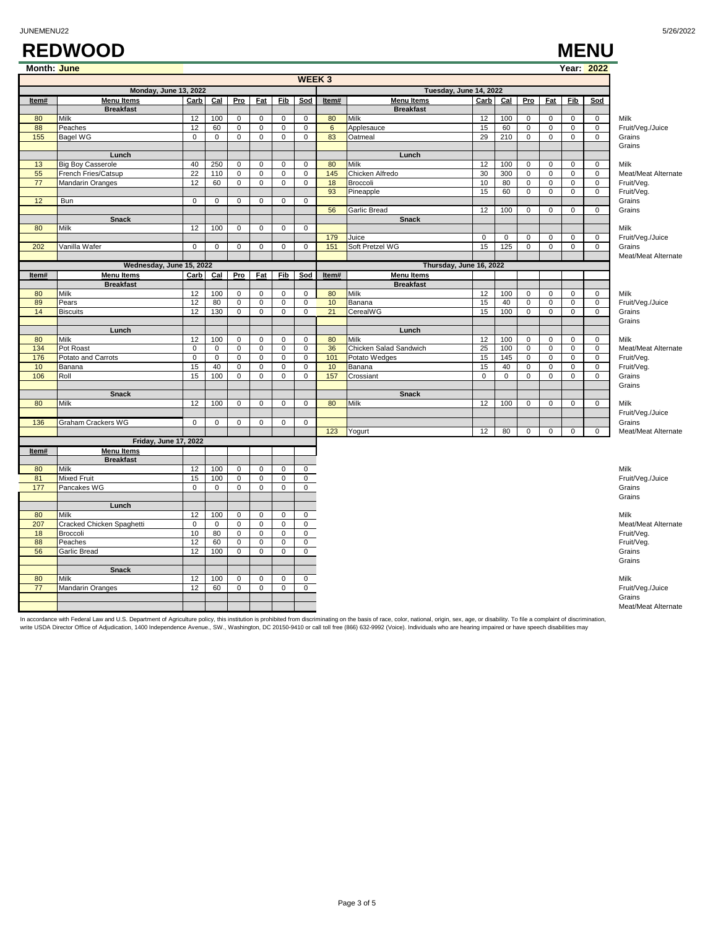|             | <b>REDWOOD</b>        |           |     |     |          |            |              |         |                        |      |     |            |            |            | <b>MENU</b> |
|-------------|-----------------------|-----------|-----|-----|----------|------------|--------------|---------|------------------------|------|-----|------------|------------|------------|-------------|
| Month: June |                       |           |     |     |          |            |              |         |                        |      |     |            |            |            | Year: 2022  |
|             |                       |           |     |     |          |            | <b>WEEK3</b> |         |                        |      |     |            |            |            |             |
|             | Monday, June 13, 2022 |           |     |     |          |            |              |         | Tuesday, June 14, 2022 |      |     |            |            |            |             |
| Item#       | <b>Menu Items</b>     | Carb      | Cal | Pro | Fat      | <b>Fib</b> | Sod          | Item#   | <b>Menu Items</b>      | Carb | Cal | <u>Pro</u> | <b>Fat</b> | <b>Fib</b> | Sod         |
|             | <b>Breakfast</b>      |           |     |     |          |            |              |         | <b>Breakfast</b>       |      |     |            |            |            |             |
| 80          | Milk                  | 12        | 100 | O   |          |            |              | 80      | Milk                   | 12   | 100 | $\Omega$   | 0          | 0          | $\Omega$    |
| 88          | Peaches               | 12        | 60  |     |          |            |              | 6       | Applesauce             | 15   | -60 | 0          |            |            |             |
| 155         | Bagel WG              |           |     |     |          |            |              | 83      | Oatmeal                | 29   | 210 | $\Omega$   | $^{(1)}$   |            | 0           |
|             |                       |           |     |     |          |            |              |         |                        |      |     |            |            |            |             |
|             | Lunch                 |           |     |     |          |            |              |         | Lunch                  |      |     |            |            |            |             |
| 12          | Dia Pou Concordo      | $\Lambda$ | 250 |     | $\Omega$ |            |              | $\circ$ | A:11                   | 12   | 100 | $\Omega$   | $\sim$     | $\Omega$   | $\sim$      |

|           |                                       |                   |                    |                             |                            |                  | <b>WEEK3</b>                 |                |                                             |             |             |                     |                |                     |                     |                            |
|-----------|---------------------------------------|-------------------|--------------------|-----------------------------|----------------------------|------------------|------------------------------|----------------|---------------------------------------------|-------------|-------------|---------------------|----------------|---------------------|---------------------|----------------------------|
|           | Monday, June 13, 2022                 |                   |                    |                             |                            |                  |                              |                |                                             |             |             |                     |                |                     |                     |                            |
| Item#     | <b>Menu Items</b>                     | Carb              | Cal                | Pro                         | <b>Fat</b>                 | <b>Fib</b>       | Sod                          | Item#          | Tuesday, June 14, 2022<br><b>Menu Items</b> | Carb        | $Cal$       | Pro                 | <b>Fat</b>     | <b>Fib</b>          | Sod                 |                            |
|           | <b>Breakfast</b>                      |                   |                    |                             |                            |                  |                              |                | <b>Breakfast</b>                            |             |             |                     |                |                     |                     |                            |
| 80        | Milk                                  | 12                | 100                | $\mathbf{0}$                | $\mathbf 0$                | $\mathbf 0$      | $\mathbf 0$                  | 80             | Milk                                        | 12          | 100         | $\Omega$            | $\mathbf 0$    | $\mathbf 0$         | $\mathbf 0$         | Milk                       |
| 88        | Peaches                               | 12                | 60                 | $\mathsf 0$                 | $\mathbf 0$                | $\mathbf 0$      | $\mathbf 0$                  | $6\phantom{1}$ | Applesauce                                  | 15          | 60          | $\mathsf 0$         | $\pmb{0}$      | 0                   | 0                   | Fruit/Veg./Juice           |
| 155       | <b>Bagel WG</b>                       | $\mathbf 0$       | $\mathbf 0$        | $\mathbf{0}$                | $\mathbf 0$                | $\mathbf 0$      | $\mathbf 0$                  | 83             | Oatmeal                                     | 29          | 210         | $\mathbf 0$         | $\mathbf 0$    | $\mathbf 0$         | $\mathsf 0$         | Grains                     |
|           |                                       |                   |                    |                             |                            |                  |                              |                |                                             |             |             |                     |                |                     |                     | Grains                     |
|           | Lunch                                 |                   |                    |                             |                            |                  |                              |                | Lunch                                       |             |             |                     |                |                     |                     |                            |
| 13        | <b>Big Boy Casserole</b>              | 40                | 250                | $\mathbf 0$                 | $\mathbf 0$                | $\mathbf 0$      | 0                            | 80             | Milk                                        | 12          | 100         | $\mathbf 0$         | $\mathbf 0$    | 0                   | 0                   | Milk                       |
| 55        | French Fries/Catsup                   | 22                | 110                | $\mathbf{0}$                | $\mathbf 0$                | $\mathbf 0$      | $\mathbf 0$                  | 145            | Chicken Alfredo                             | 30          | 300         | $\mathbf 0$         | $\mathbf 0$    | $\mathbf 0$         | 0                   | Meat/Meat Alternate        |
| 77        | Mandarin Oranges                      | 12                | 60                 | $\mathbf 0$                 | 0                          | $\mathbf 0$      | $\mathbf 0$                  | 18             | Broccoli                                    | 10          | 80          | $\mathsf 0$         | $\mathbf 0$    | $\mathsf 0$         | $\mathsf 0$         | Fruit/Veg.                 |
|           |                                       |                   |                    |                             |                            |                  |                              | 93             | Pineapple                                   | 15          | 60          | $\overline{0}$      | $\overline{0}$ | $\overline{0}$      | $\overline{0}$      | Fruit/Veg.                 |
| 12        | Bun                                   | $\mathbf 0$       | $\mathbf 0$        | $\mathbf 0$                 | $\mathbf 0$                | $\mathbf 0$      | $\mathbf{0}$                 |                |                                             |             |             |                     |                |                     |                     | Grains                     |
|           |                                       |                   |                    |                             |                            |                  |                              | 56             | Garlic Bread                                | 12          | 100         | $\mathbf 0$         | $\mathbf 0$    | $\mathbf 0$         | 0                   | Grains                     |
| 80        | <b>Snack</b><br>Milk                  | 12                | 100                | $\mathsf 0$                 | $\mathbf 0$                | $\mathbf 0$      | $\mathbf 0$                  |                | <b>Snack</b>                                |             |             |                     |                |                     |                     |                            |
|           |                                       |                   |                    |                             |                            |                  |                              | 179            | Juice                                       | $\mathbf 0$ | $\mathbf 0$ | $\mathbf 0$         | $\mathbf 0$    | $\Omega$            | $\mathbf 0$         | Milk                       |
| 202       | Vanilla Wafer                         | $\mathsf 0$       | $\mathsf 0$        | $\mathsf 0$                 | $\mathsf 0$                | $\mathbf 0$      | $\mathbf 0$                  | 151            | Soft Pretzel WG                             | 15          | 125         | $\mathsf 0$         | $\mathbf 0$    | 0                   | $\mathsf 0$         | Fruit/Veg./Juice<br>Grains |
|           |                                       |                   |                    |                             |                            |                  |                              |                |                                             |             |             |                     |                |                     |                     | Meat/Meat Alternate        |
|           | Wednesday, June 15, 2022              |                   |                    |                             |                            |                  |                              |                | Thursday, June 16, 2022                     |             |             |                     |                |                     |                     |                            |
| Item#     | <b>Menu Items</b>                     | Carb              | Cal                | Pro                         | Fat                        | Fib              | Sod                          | Item#          | <b>Menu Items</b>                           |             |             |                     |                |                     |                     |                            |
|           | <b>Breakfast</b>                      |                   |                    |                             |                            |                  |                              |                | <b>Breakfast</b>                            |             |             |                     |                |                     |                     |                            |
| 80        | <b>Milk</b>                           | 12                | 100                | $\mathbf{0}$                | $\mathbf 0$                | $\mathbf 0$      | 0                            | 80             | Milk                                        | 12          | 100         | $\mathbf 0$         | $\Omega$       | $\mathbf 0$         | 0                   | Milk                       |
| 89        | Pears                                 | 12                | 80                 | $\mathsf 0$                 | $\mathbf 0$                | $\mathbf 0$      | $\mathsf 0$                  | 10             | Banana                                      | 15          | 40          | $\mathbf 0$         | $\mathbf 0$    | $\mathbf 0$         | $\mathsf{O}\xspace$ | Fruit/Veg./Juice           |
| 14        | <b>Biscuits</b>                       | 12                | 130                | $\mathbf{0}$                | $\mathbf 0$                | $\mathbf 0$      | $\mathbf 0$                  | 21             | CerealWG                                    | 15          | 100         | $\mathbf 0$         | $\mathbf 0$    | $\mathbf 0$         | 0                   | Grains                     |
|           |                                       |                   |                    |                             |                            |                  |                              |                |                                             |             |             |                     |                |                     |                     | Grains                     |
|           | Lunch                                 |                   |                    |                             |                            |                  |                              |                | Lunch                                       |             |             |                     |                |                     |                     |                            |
| 80        | Milk                                  | 12                | 100                | $\mathbf 0$                 | $\mathbf 0$                | 0                | $\mathbf 0$                  | 80             | Milk                                        | 12          | 100         | $\mathbf 0$         | $\mathsf 0$    | $\mathbf 0$         | $\mathbf 0$         | Milk                       |
| 134       | Pot Roast                             | $\mathbf 0$       | $\mathbf 0$        | $\mathsf 0$                 | $\mathbf 0$                | $\mathbf 0$      | 0                            | 36             | Chicken Salad Sandwich                      | 25          | 100         | $\mathsf{O}\xspace$ | $\pmb{0}$      | $\pmb{0}$           | 0                   | Meat/Meat Alternate        |
| 176       | Potato and Carrots                    | $\mathbf 0$       | $\mathsf 0$        | $\mathsf 0$                 | $\mathsf 0$                | $\mathbf 0$      | $\mathsf 0$                  | 101            | Potato Wedges                               | 15          | 145         | $\mathbf 0$         | $\pmb{0}$      | $\pmb{0}$           | 0                   | Fruit/Veg.                 |
| 10        | Banana                                | 15                | 40                 | $\mathbf{0}$                | $\mathbf 0$                | $\mathbf 0$      | $\mathbf 0$                  | 10             | Banana                                      | 15          | 40          | $\mathbf 0$         | $\mathbf 0$    | $\mathbf 0$         | $\mathbf 0$         | Fruit/Veg.                 |
| 106       | Roll                                  | 15                | 100                | $\mathbf{0}$                | $\mathbf 0$                | $\mathbf 0$      | $\mathbf 0$                  | 157            | Crossiant                                   | $\mathbf 0$ | $\mathbf 0$ | $\mathbf 0$         | $\mathbf 0$    | $\mathbf 0$         | 0                   | Grains                     |
|           |                                       |                   |                    |                             |                            |                  |                              |                |                                             |             |             |                     |                |                     |                     | Grains                     |
|           | Snack                                 |                   |                    |                             |                            |                  |                              |                | <b>Snack</b>                                |             |             |                     |                |                     |                     |                            |
| 80        | Milk                                  | 12                | 100                | $\mathsf 0$                 | 0                          | $\mathbf 0$      | $\mathsf 0$                  | 80             | Milk                                        | 12          | 100         | $\mathbf 0$         | 0              | $\mathsf{O}\xspace$ | 0                   | Milk                       |
|           |                                       |                   |                    |                             |                            |                  |                              |                |                                             |             |             |                     |                |                     |                     | Fruit/Veg./Juice           |
| 136       | Graham Crackers WG                    | $\mathbf 0$       | $\mathsf 0$        | $\mathsf 0$                 | $\mathsf 0$                | $\mathbf 0$      | $\mathbf 0$                  |                |                                             |             |             |                     |                |                     |                     | Grains                     |
|           |                                       |                   |                    |                             |                            |                  |                              | 123            | Yogurt                                      | 12          | 80          | $\mathbf 0$         | $\mathsf 0$    | 0                   | 0                   | Meat/Meat Alternate        |
|           | <b>Friday, June 17, 2022</b>          |                   |                    |                             |                            |                  |                              |                |                                             |             |             |                     |                |                     |                     |                            |
| Item#     | <b>Menu Items</b>                     |                   |                    |                             |                            |                  |                              |                |                                             |             |             |                     |                |                     |                     |                            |
|           | <b>Breakfast</b>                      |                   |                    |                             |                            |                  |                              |                |                                             |             |             |                     |                |                     |                     |                            |
| 80        | Milk                                  | 12                | 100                | $\mathbf{0}$                | $\mathbf 0$                | $\mathbf 0$      | $\mathbf 0$                  |                |                                             |             |             |                     |                |                     |                     | Milk                       |
| 81        | <b>Mixed Fruit</b>                    | 15                | 100                | $\mathbf 0$                 | 0                          | 0                | 0                            |                |                                             |             |             |                     |                |                     |                     | Fruit/Veg./Juice           |
| 177       | Pancakes WG                           | $\overline{0}$    | $\mathbf 0$        | $\mathbf{0}$                | $\mathbf 0$                | $\mathbf 0$      | $\mathbf 0$                  |                |                                             |             |             |                     |                |                     |                     | Grains                     |
|           |                                       |                   |                    |                             |                            |                  |                              |                |                                             |             |             |                     |                |                     |                     | Grains                     |
|           | Lunch                                 |                   |                    |                             |                            |                  |                              |                |                                             |             |             |                     |                |                     |                     |                            |
| 80<br>207 | Milk                                  | 12<br>$\mathbf 0$ | 100<br>$\mathbf 0$ | $\mathsf 0$<br>$\mathbf{0}$ | $\mathbf 0$<br>$\mathbf 0$ | 0<br>$\mathbf 0$ | $\mathbf{0}$<br>$\mathbf{0}$ |                |                                             |             |             |                     |                |                     |                     | Milk                       |
| 18        | Cracked Chicken Spaghetti<br>Broccoli | 10                | 80                 | $\mathsf 0$                 | 0                          | $\mathbf 0$      | $\mathbf 0$                  |                |                                             |             |             |                     |                |                     |                     | Meat/Meat Alternate        |
| 88        | Peaches                               | 12                | 60                 | $\mathsf 0$                 | $\mathbf 0$                | $\mathbf 0$      | 0                            |                |                                             |             |             |                     |                |                     |                     | Fruit/Veg.<br>Fruit/Veg.   |
| 56        |                                       | 12                | 100                | $\mathsf 0$                 | 0                          | $\mathbf 0$      | 0                            |                |                                             |             |             |                     |                |                     |                     | Grains                     |
|           | Garlic Bread                          |                   |                    |                             |                            |                  |                              |                |                                             |             |             |                     |                |                     |                     | Grains                     |
|           | <b>Snack</b>                          |                   |                    |                             |                            |                  |                              |                |                                             |             |             |                     |                |                     |                     |                            |
| 80        | Milk                                  | 12                | 100                | $\mathbf 0$                 | $\mathsf 0$                | $\mathbf 0$      | $\mathbf 0$                  |                |                                             |             |             |                     |                |                     |                     | Milk                       |
| 77        | Mandarin Oranges                      | 12                | 60                 | $\mathsf 0$                 | $\mathbf 0$                | $\mathbf 0$      | $\mathbf 0$                  |                |                                             |             |             |                     |                |                     |                     | Fruit/Veg./Juice           |
|           |                                       |                   |                    |                             |                            |                  |                              |                |                                             |             |             |                     |                |                     |                     | Grains                     |
|           |                                       |                   |                    |                             |                            |                  |                              |                |                                             |             |             |                     |                |                     |                     | Meat/Meat Alternate        |
|           |                                       |                   |                    |                             |                            |                  |                              |                |                                             |             |             |                     |                |                     |                     |                            |

In accordance with Federal Law and U.S. Department of Agriculture policy, this institution is prohibited from discriminating on the basis of race, color, national, origin, sex, age, or disability. To file a complaint of di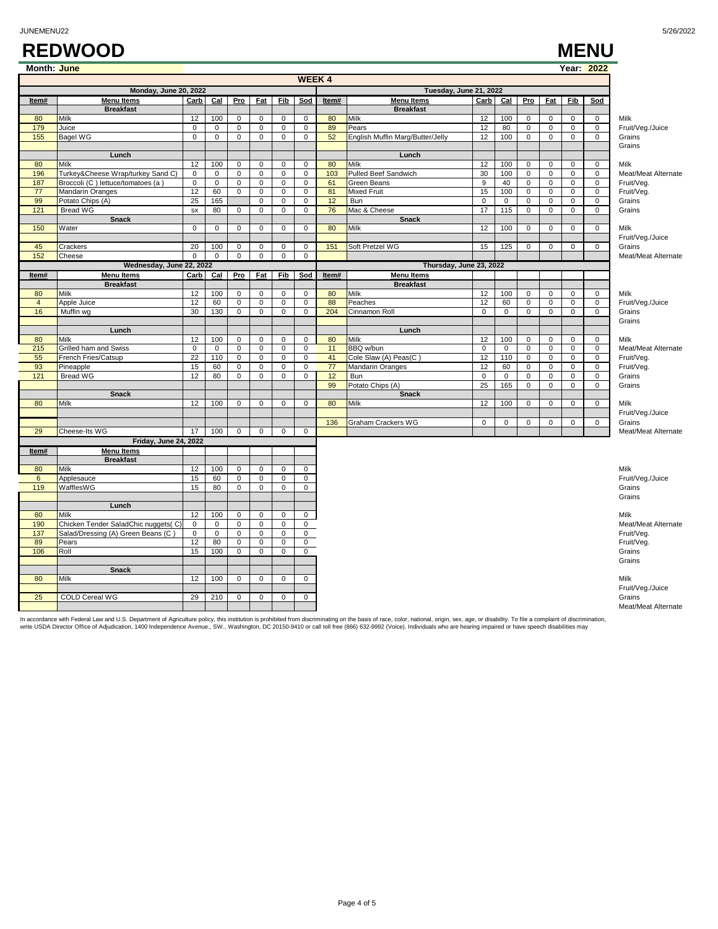|                | <b>WEEK4</b>                        |              |             |                |                |                |                     |       |                                  |             |              |             |                |             |              |                     |
|----------------|-------------------------------------|--------------|-------------|----------------|----------------|----------------|---------------------|-------|----------------------------------|-------------|--------------|-------------|----------------|-------------|--------------|---------------------|
|                | <b>Monday, June 20, 2022</b>        |              |             |                |                |                |                     |       | Tuesday, June 21, 2022           |             |              |             |                |             |              |                     |
| Item#          | <b>Menu Items</b>                   | Carb         | Cal         | Pro            | <b>Fat</b>     | <b>Fib</b>     | Sod                 | Item# | <b>Menu Items</b>                | Carb        | Cal          | Pro         | <b>Fat</b>     | <b>Fib</b>  | Sod          |                     |
|                | <b>Breakfast</b>                    |              |             |                |                |                |                     |       | <b>Breakfast</b>                 |             |              |             |                |             |              |                     |
| 80             | Milk                                | 12           | 100         | 0              | $\mathbf 0$    | $\mathsf 0$    | $\mathsf 0$         | 80    | Milk                             | 12          | 100          | $\mathsf 0$ | 0              | $\mathsf 0$ | $\mathsf 0$  | Milk                |
| 179            | Juice                               | $\mathsf 0$  | $\mathsf 0$ | $\mathsf 0$    | $\mathsf 0$    | $\mathsf 0$    | $\mathsf 0$         | 89    | Pears                            | 12          | 80           | 0           | 0              | 0           | $\mathsf 0$  | Fruit/Veg./Juice    |
| 155            | <b>Bagel WG</b>                     | $\mathsf 0$  | $\mathbf 0$ | 0              | $\mathsf 0$    | $\mathsf 0$    | $\mathsf 0$         | 52    | English Muffin Marg/Butter/Jelly | 12          | 100          | 0           | $\overline{0}$ | 0           | $\mathbf 0$  | Grains              |
|                |                                     |              |             |                |                |                |                     |       |                                  |             |              |             |                |             |              | Grains              |
|                | Lunch                               |              |             |                |                |                |                     |       | Lunch                            |             |              |             |                |             |              |                     |
| 80             | Milk                                | 12           | 100         | $\mathbf 0$    | $\mathbf 0$    | $\mathbf 0$    | $\mathbf 0$         | 80    | Milk                             | 12          | 100          | $\mathbf 0$ | $\mathbf 0$    | $\mathbf 0$ | $\mathbf 0$  | Milk                |
| 196            | Turkey&Cheese Wrap/turkey Sand C)   | $\mathbf 0$  | $\mathbf 0$ | $\mathbf 0$    | $\mathbf 0$    | $\mathsf 0$    | $\mathbf{0}$        | 103   | <b>Pulled Beef Sandwich</b>      | 30          | 100          | $\mathbf 0$ | $\mathsf 0$    | $\mathbf 0$ | $\mathsf 0$  | Meat/Meat Alternate |
| 187            | Broccoli (C) lettuce/tomatoes (a)   | 0            | 0           | 0              | $\mathbf 0$    | $\mathsf 0$    | $\mathbf 0$         | 61    | <b>Green Beans</b>               | 9           | 40           | 0           | 0              | 0           | $\mathbf 0$  | Fruit/Veg.          |
| 77             | Mandarin Oranges                    | 12           | 60          | $\mathbf{0}$   | $\Omega$       | $\mathbf 0$    | $\mathbf{0}$        | 81    | Mixed Fruit                      | 15          | 100          | $\mathbf 0$ | $\mathbf{0}$   | 0           | $\mathbf 0$  | Fruit/Veg.          |
| 99             | Potato Chips (A)                    | 25           | 165         |                | $\mathbf 0$    | $\mathbf 0$    | $\mathbf{0}$        | 12    | Bun                              | $\mathbf 0$ | $\mathbf 0$  | $\mathbf 0$ | $\mathbf 0$    | $\mathbf 0$ | $\mathbf 0$  | Grains              |
| 121            | <b>Bread WG</b>                     | SX           | 80          | $\mathbf 0$    | $\mathbf 0$    | 0              | $\mathbf 0$         | 76    | Mac & Cheese                     | 17          | 115          | 0           | 0              | 0           | $\mathbf{0}$ | Grains              |
|                | <b>Snack</b>                        |              |             |                |                |                |                     |       | <b>Snack</b>                     |             |              |             |                |             |              |                     |
| 150            | Water                               | $\mathbf{0}$ | $\mathbf 0$ | $\mathbf{0}$   | $\mathbf 0$    | $\mathbf 0$    | $\mathsf 0$         | 80    | Milk                             | 12          | 100          | 0           | 0              | 0           | $\mathbf 0$  | Milk                |
|                |                                     |              |             |                |                |                |                     |       |                                  |             |              |             |                |             |              | Fruit/Veg./Juice    |
| 45             | Crackers                            | 20           | 100         | 0              | 0              | 0              | $\mathbf 0$         | 151   | Soft Pretzel WG                  | 15          | 125          | 0           | 0              | $\mathbf 0$ | $\mathbf 0$  | Grains              |
| 152            | Cheese                              | $\mathbf 0$  | $\mathbf 0$ | $\mathbf{0}$   | $\mathbf 0$    | $\mathbf 0$    | $\mathbf{0}$        |       |                                  |             |              |             |                |             |              | Meat/Meat Alternate |
|                | Wednesday, June 22, 2022            |              |             |                |                |                |                     |       | Thursday, June 23, 2022          |             |              |             |                |             |              |                     |
| Item#          | <b>Menu Items</b>                   | Carb         | $Cal$       | Pro            | <b>Fat</b>     | Fib            | Sod                 | Item# | <b>Menu Items</b>                |             |              |             |                |             |              |                     |
|                | <b>Breakfast</b>                    |              |             |                |                |                |                     |       | <b>Breakfast</b>                 |             |              |             |                |             |              |                     |
| 80             | Milk                                | 12           | 100         | 0              | $\mathbf 0$    | $\mathbf 0$    | $\mathbf 0$         | 80    | Milk                             | 12          | 100          | $\mathbf 0$ | $\mathbf 0$    | $\mathbf 0$ | $\mathbf 0$  | Milk                |
| $\overline{4}$ | Apple Juice                         | 12           | 60          | $\mathbf 0$    | $\mathbf 0$    | $\mathbf 0$    | $\mathbf 0$         | 88    | Peaches                          | 12          | 60           | 0           | $\mathbf{0}$   | 0           | $\mathbf 0$  | Fruit/Veg./Juice    |
| 16             | Muffin wg                           | 30           | 130         | $\mathbf 0$    | $\mathbf 0$    | $\mathbf 0$    | $\mathbf 0$         | 204   | Cinnamon Roll                    | $\mathbf 0$ | $\mathbf 0$  | $\Omega$    | $\mathbf 0$    | 0           | $\mathbf 0$  | Grains              |
|                |                                     |              |             |                |                |                |                     |       |                                  |             |              |             |                |             |              | Grains              |
|                | Lunch                               |              |             |                |                |                |                     |       | Lunch                            |             |              |             |                |             |              |                     |
| 80             | Milk                                | 12           | 100         | $\mathbf{0}$   | $\mathbf 0$    | $\mathbf 0$    | $\mathbf{0}$        | 80    | Milk                             | 12          | 100          | $\mathbf 0$ | $\mathbf 0$    | $\mathbf 0$ | $\mathbf 0$  | Milk                |
| 215            | Grilled ham and Swiss               | $\mathbf 0$  | $\mathbf 0$ | $\mathbf 0$    | $\mathbf 0$    | $\mathbf 0$    | $\mathbf 0$         | 11    | BBQ w/bun                        | $\mathbf 0$ | $\mathbf 0$  | $\mathbf 0$ | $\mathsf 0$    | $\mathbf 0$ | $\mathsf 0$  | Meat/Meat Alternate |
| 55             | French Fries/Catsup                 | 22           | 110         | 0              | $\mathbf 0$    | $\mathsf 0$    | $\mathbf 0$         | 41    | Cole Slaw (A) Peas(C)            | 12          | 110          | $\mathbf 0$ | $\overline{0}$ | $\mathbf 0$ | $\mathbf 0$  | Fruit/Veg.          |
| 93             | Pineapple                           | 15           | 60          | 0              | $\mathbf 0$    | $\mathbf 0$    | $\mathbf 0$         | 77    | Mandarin Oranges                 | 12          | 60           | 0           | 0              | 0           | $\mathbf 0$  | Fruit/Veg.          |
| 121            | <b>Bread WG</b>                     | 12           | 80          | $\mathbf{0}$   | $\mathbf 0$    | $\mathbf{0}$   | $\mathbf{0}$        | 12    | Bun                              | $\mathbf 0$ | $\mathbf{0}$ | $\Omega$    | 0              | 0           | $\mathbf 0$  | Grains              |
|                |                                     |              |             |                |                |                |                     | 99    | Potato Chips (A)                 | 25          | 165          | $\mathbf 0$ | $\mathbf 0$    | $\mathbf 0$ | $\mathbf 0$  | Grains              |
|                | <b>Snack</b>                        |              |             |                |                |                |                     |       | <b>Snack</b>                     |             |              |             |                |             |              |                     |
| 80             | Milk                                | 12           | 100         | 0              | 0              | 0              | $\mathbf 0$         | 80    | Milk                             | 12          | 100          | $\mathbf 0$ | 0              | 0           | $\mathbf 0$  | Milk                |
|                |                                     |              |             |                |                |                |                     |       |                                  |             |              |             |                |             |              | Fruit/Veg./Juice    |
|                |                                     |              |             |                |                |                |                     | 136   | Graham Crackers WG               | 0           | 0            | 0           | 0              | 0           | $\mathsf 0$  | Grains              |
| 29             | Cheese-Its WG                       | 17           | 100         | $\overline{0}$ | $\overline{0}$ | $\overline{0}$ | $\overline{0}$      |       |                                  |             |              |             |                |             |              | Meat/Meat Alternate |
|                | <b>Friday, June 24, 2022</b>        |              |             |                |                |                |                     |       |                                  |             |              |             |                |             |              |                     |
| Item#          | <b>Menu Items</b>                   |              |             |                |                |                |                     |       |                                  |             |              |             |                |             |              |                     |
|                | <b>Breakfast</b>                    |              |             |                |                |                |                     |       |                                  |             |              |             |                |             |              |                     |
| 80             | Milk                                | 12           | 100         | $\mathbf 0$    | $\mathbf 0$    | $\mathbf 0$    | $\mathbf 0$         |       |                                  |             |              |             |                |             |              | Milk                |
| $6\phantom{1}$ | Applesauce                          | 15           | 60          | 0              | $\mathbf 0$    | $\mathbf 0$    | $\mathbf 0$         |       |                                  |             |              |             |                |             |              | Fruit/Veg./Juice    |
| 119            | WafflesWG                           | 15           | 80          | 0              | $\mathbf 0$    | 0              | $\mathbf 0$         |       |                                  |             |              |             |                |             |              | Grains              |
|                |                                     |              |             |                |                |                |                     |       |                                  |             |              |             |                |             |              | Grains              |
|                | Lunch                               |              |             |                |                |                |                     |       |                                  |             |              |             |                |             |              |                     |
| 80             | Milk                                | 12           | 100         | $\mathbf 0$    | 0              | 0              | 0                   |       |                                  |             |              |             |                |             |              | Milk                |
| 190            | Chicken Tender SaladChic nuggets(C) | 0            | 0           | 0              | 0              | 0              | 0                   |       |                                  |             |              |             |                |             |              | Meat/Meat Alternate |
| 137            | Salad/Dressing (A) Green Beans (C)  | 0            | $\mathbf 0$ | $\mathbf{0}$   | $\mathbf 0$    | $\mathbf 0$    | $\mathbf 0$         |       |                                  |             |              |             |                |             |              | Fruit/Veg.          |
| 89             | Pears                               | 12           | 80          | $\mathsf 0$    | $\mathsf 0$    | $\mathsf 0$    | $\mathsf{O}\xspace$ |       |                                  |             |              |             |                |             |              | Fruit/Veg.          |
| 106            | Roll                                | 15           | 100         | $\overline{0}$ | $\overline{0}$ | $\overline{0}$ | $\overline{0}$      |       |                                  |             |              |             |                |             |              | Grains              |
|                |                                     |              |             |                |                |                |                     |       |                                  |             |              |             |                |             |              | Grains              |
|                | <b>Snack</b>                        |              |             |                |                |                |                     |       |                                  |             |              |             |                |             |              |                     |

JUNEMENU22 5/26/2022

**Month: June Year: 2022**

# **REDWOOD** MENU<br>
Month: <mark>June Year: 2022</mark>

80 Milk 12 100 0 0 0 0 Milk Fruit/Veg./Juice 25 COLD Cereal WG 29 210 0 0 0 0 Grains Meat/Meat Alternate

In accordance with Federal Law and U.S. Department of Agriculture policy, this institution is prohibited from discriminating on the basis of race, color, national, origin, sex, age, or disability. To file a complaint of di